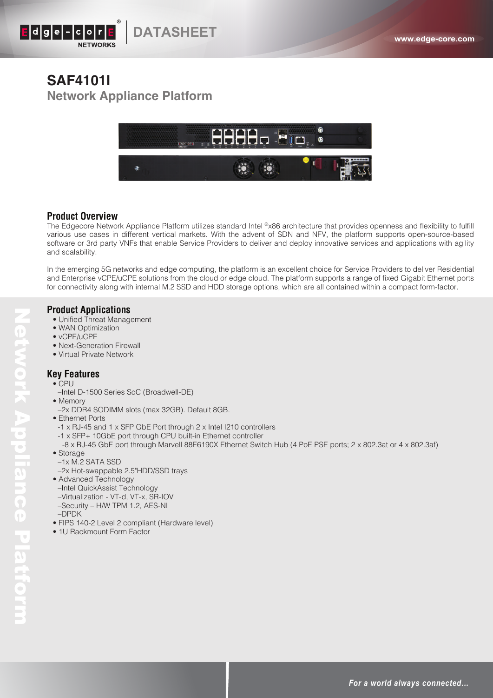

## **SAF4101I Network Appliance Platform**



### **Product Overview**

The Edgecore Network Appliance Platform utilizes standard Intel ®x86 architecture that provides openness and flexibility to fulfill various use cases in different vertical markets. With the advent of SDN and NFV, the platform supports open-source-based software or 3rd party VNFs that enable Service Providers to deliver and deploy innovative services and applications with agility and scalability.

In the emerging 5G networks and edge computing, the platform is an excellent choice for Service Providers to deliver Residential and Enterprise vCPE/uCPE solutions from the cloud or edge cloud. The platform supports a range of fixed Gigabit Ethernet ports for connectivity along with internal M.2 SSD and HDD storage options, which are all contained within a compact form-factor.

### **Product Applications**

- Unified Threat Management
- WAN Optimization
- vCPE/uCPE
- Next-Generation Firewall
- Virtual Private Network

### **Key Features**

- CPU
- –Intel D-1500 Series SoC (Broadwell-DE)
- Memory
	- –2x DDR4 SODIMM slots (max 32GB). Default 8GB.
- Ethernet Ports
- -1 x RJ-45 and 1 x SFP GbE Port through 2 x Intel I210 controllers
- -1 x SFP+ 10GbE port through CPU built-in Ethernet controller
- -8 x RJ-45 GbE port through Marvell 88E6190X Ethernet Switch Hub (4 PoE PSE ports; 2 x 802.3at or 4 x 802.3af) • Storage
- –1x M.2 SATA SSD
- –2x Hot-swappable 2.5"HDD/SSD trays
- Advanced Technology –Intel QuickAssist Technology –Virtualization - VT-d, VT-x, SR-IOV –Security – H/W TPM 1.2, AES-NI
- –DPDK
- FIPS 140-2 Level 2 compliant (Hardware level)
- 1U Rackmount Form Factor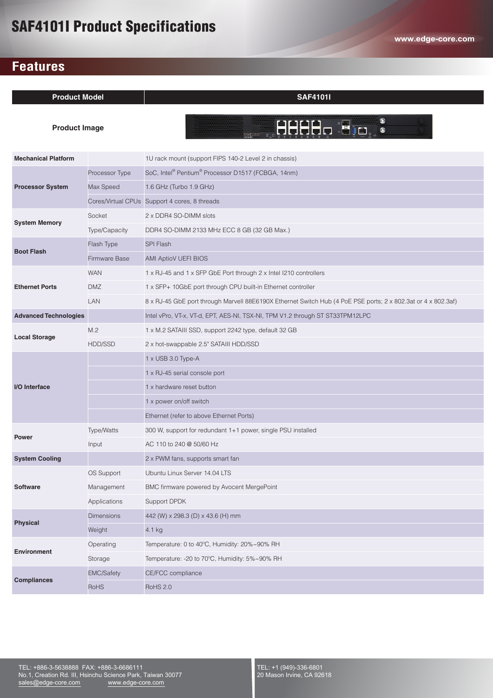# SAF4101I Product Specifications

## **Features**

| <b>Product Model</b>         |                   | <b>SAF4101I</b>                                                                                               |
|------------------------------|-------------------|---------------------------------------------------------------------------------------------------------------|
| <b>Product Image</b>         |                   | $\bullet$<br>$\circ$                                                                                          |
| <b>Mechanical Platform</b>   |                   | 1U rack mount (support FIPS 140-2 Level 2 in chassis)                                                         |
| <b>Processor System</b>      | Processor Type    | SoC, Intel® Pentium® Processor D1517 (FCBGA, 14nm)                                                            |
|                              | Max Speed         | 1.6 GHz (Turbo 1.9 GHz)                                                                                       |
|                              |                   | Cores/Virtual CPUs Support 4 cores, 8 threads                                                                 |
| <b>System Memory</b>         | Socket            | 2 x DDR4 SO-DIMM slots                                                                                        |
|                              | Type/Capacity     | DDR4 SO-DIMM 2133 MHz ECC 8 GB (32 GB Max.)                                                                   |
| <b>Boot Flash</b>            | Flash Type        | <b>SPI Flash</b>                                                                                              |
|                              | Firmware Base     | <b>AMI AptioV UEFI BIOS</b>                                                                                   |
| <b>Ethernet Ports</b>        | <b>WAN</b>        | 1 x RJ-45 and 1 x SFP GbE Port through 2 x Intel I210 controllers                                             |
|                              | <b>DMZ</b>        | 1 x SFP+ 10GbE port through CPU built-in Ethernet controller                                                  |
|                              | LAN               | 8 x RJ-45 GbE port through Marvell 88E6190X Ethernet Switch Hub (4 PoE PSE ports; 2 x 802.3at or 4 x 802.3af) |
| <b>Advanced Technologies</b> |                   | Intel vPro, VT-x, VT-d, EPT, AES-NI, TSX-NI, TPM V1.2 through ST ST33TPM12LPC                                 |
| <b>Local Storage</b>         | M.2               | 1 x M.2 SATAIII SSD, support 2242 type, default 32 GB                                                         |
|                              | HDD/SSD           | 2 x hot-swappable 2.5" SATAIII HDD/SSD                                                                        |
| I/O Interface                |                   | 1 x USB 3.0 Type-A                                                                                            |
|                              |                   | 1 x RJ-45 serial console port                                                                                 |
|                              |                   | 1 x hardware reset button                                                                                     |
|                              |                   | 1 x power on/off switch                                                                                       |
|                              |                   | Ethernet (refer to above Ethernet Ports)                                                                      |
| <b>Power</b>                 | Type/Watts        | 300 W, support for redundant 1+1 power, single PSU installed                                                  |
|                              | Input             | AC 110 to 240 @ 50/60 Hz                                                                                      |
| <b>System Cooling</b>        |                   | 2 x PWM fans, supports smart fan                                                                              |
| <b>Software</b>              | OS Support        | Ubuntu Linux Server 14.04 LTS                                                                                 |
|                              | Management        | BMC firmware powered by Avocent MergePoint                                                                    |
|                              | Applications      | Support DPDK                                                                                                  |
| <b>Physical</b>              | <b>Dimensions</b> | 442 (W) x 298.3 (D) x 43.6 (H) mm                                                                             |
|                              | Weight            | 4.1 kg                                                                                                        |
| <b>Environment</b>           | Operating         | Temperature: 0 to 40°C, Humidity: 20%~90% RH                                                                  |
|                              | Storage           | Temperature: - 20 to 70°C, Humidity: 5%~90% RH                                                                |
| <b>Compliances</b>           | <b>EMC/Safety</b> | CE/FCC compliance                                                                                             |
|                              | RoHS              | <b>RoHS 2.0</b>                                                                                               |